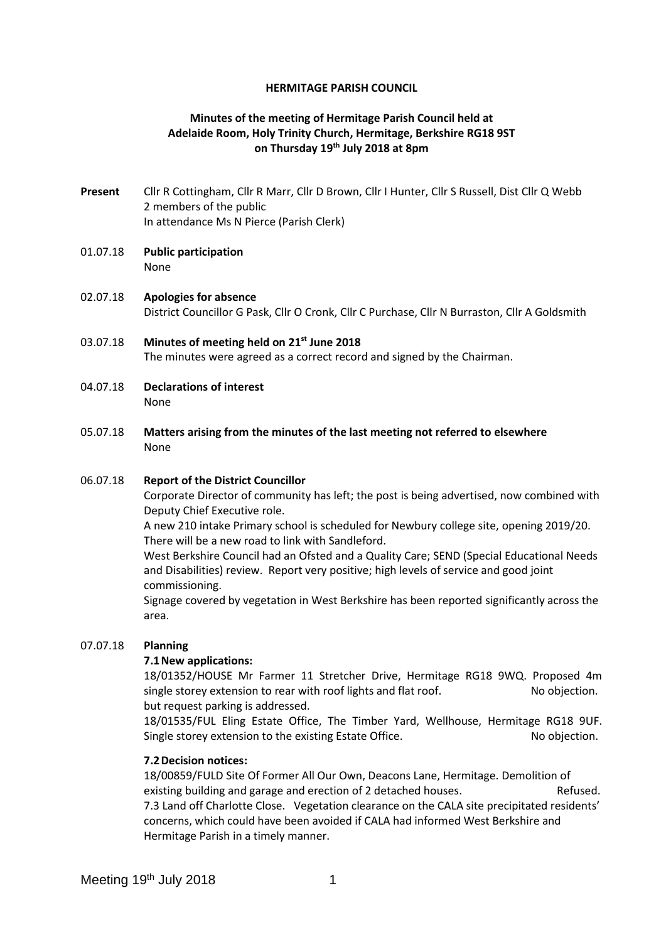#### **HERMITAGE PARISH COUNCIL**

# **Minutes of the meeting of Hermitage Parish Council held at Adelaide Room, Holy Trinity Church, Hermitage, Berkshire RG18 9ST on Thursday 19th July 2018 at 8pm**

- **Present** Cllr R Cottingham, Cllr R Marr, Cllr D Brown, Cllr I Hunter, Cllr S Russell, Dist Cllr Q Webb 2 members of the public In attendance Ms N Pierce (Parish Clerk)
- 01.07.18 **Public participation**  None
- 02.07.18 **Apologies for absence** District Councillor G Pask, Cllr O Cronk, Cllr C Purchase, Cllr N Burraston, Cllr A Goldsmith
- 03.07.18 **Minutes of meeting held on 21st June 2018** The minutes were agreed as a correct record and signed by the Chairman.
- 04.07.18 **Declarations of interest** None
- 05.07.18 **Matters arising from the minutes of the last meeting not referred to elsewhere** None

### 06.07.18 **Report of the District Councillor**

Corporate Director of community has left; the post is being advertised, now combined with Deputy Chief Executive role.

A new 210 intake Primary school is scheduled for Newbury college site, opening 2019/20. There will be a new road to link with Sandleford.

West Berkshire Council had an Ofsted and a Quality Care; SEND (Special Educational Needs and Disabilities) review. Report very positive; high levels of service and good joint commissioning.

Signage covered by vegetation in West Berkshire has been reported significantly across the area.

### 07.07.18 **Planning**

### **7.1New applications:**

18/01352/HOUSE Mr Farmer 11 Stretcher Drive, Hermitage RG18 9WQ. Proposed 4m single storey extension to rear with roof lights and flat roof. No objection. but request parking is addressed.

18/01535/FUL Eling Estate Office, The Timber Yard, Wellhouse, Hermitage RG18 9UF. Single storey extension to the existing Estate Office. No objection.

### **7.2Decision notices:**

18/00859/FULD Site Of Former All Our Own, Deacons Lane, Hermitage. Demolition of existing building and garage and erection of 2 detached houses. The Refused. 7.3 Land off Charlotte Close. Vegetation clearance on the CALA site precipitated residents' concerns, which could have been avoided if CALA had informed West Berkshire and Hermitage Parish in a timely manner.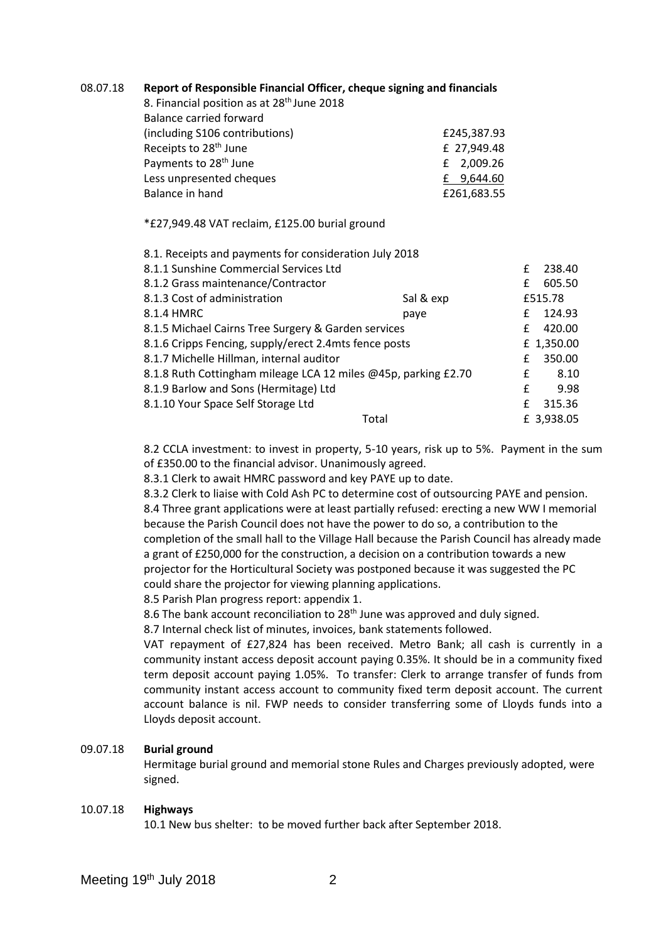| 08.07.18 | Report of Responsible Financial Officer, cheque signing and financials |
|----------|------------------------------------------------------------------------|
|          |                                                                        |

8. Financial position as at 28<sup>th</sup> June 2018 Balance carried forward (including S106 contributions) £245,387.93 Receipts to  $28<sup>th</sup>$  June  $\qquad \qquad$  E 27,949.48 Payments to  $28<sup>th</sup>$  June  $\qquad \qquad$   $\qquad \qquad$   $\qquad \qquad$   $\qquad \qquad$   $\qquad \qquad$   $\qquad \qquad$   $\qquad \qquad$   $\qquad \qquad$   $\qquad \qquad$   $\qquad \qquad$   $\qquad \qquad$   $\qquad \qquad$   $\qquad \qquad$   $\qquad \qquad$   $\qquad \qquad$   $\qquad \qquad$   $\qquad \qquad$   $\qquad \qquad$   $\qquad \qquad$   $\qquad \qquad$   $\qquad \qquad$   $\q$ Less unpresented cheques **E** 9,644.60 Balance in hand **E261.683.55** 

\*£27,949.48 VAT reclaim, £125.00 burial ground

| 8.1. Receipts and payments for consideration July 2018         |           |   |            |
|----------------------------------------------------------------|-----------|---|------------|
| 8.1.1 Sunshine Commercial Services Ltd                         |           |   | 238.40     |
| 8.1.2 Grass maintenance/Contractor                             |           | £ | 605.50     |
| 8.1.3 Cost of administration                                   | Sal & exp |   | £515.78    |
| 8.1.4 HMRC                                                     | paye      | £ | 124.93     |
| 8.1.5 Michael Cairns Tree Surgery & Garden services            |           |   | 420.00     |
| 8.1.6 Cripps Fencing, supply/erect 2.4mts fence posts          |           |   | £ 1,350.00 |
| 8.1.7 Michelle Hillman, internal auditor                       |           |   | 350.00     |
| 8.1.8 Ruth Cottingham mileage LCA 12 miles @45p, parking £2.70 |           |   | 8.10       |
| 8.1.9 Barlow and Sons (Hermitage) Ltd                          |           | £ | 9.98       |
| 8.1.10 Your Space Self Storage Ltd                             |           | £ | 315.36     |
|                                                                | Total     |   | £ 3,938.05 |
|                                                                |           |   |            |

8.2 CCLA investment: to invest in property, 5-10 years, risk up to 5%. Payment in the sum of £350.00 to the financial advisor. Unanimously agreed.

8.3.1 Clerk to await HMRC password and key PAYE up to date.

8.3.2 Clerk to liaise with Cold Ash PC to determine cost of outsourcing PAYE and pension. 8.4 Three grant applications were at least partially refused: erecting a new WW I memorial because the Parish Council does not have the power to do so, a contribution to the completion of the small hall to the Village Hall because the Parish Council has already made a grant of £250,000 for the construction, a decision on a contribution towards a new projector for the Horticultural Society was postponed because it was suggested the PC could share the projector for viewing planning applications.

8.5 Parish Plan progress report: appendix 1.

8.6 The bank account reconciliation to 28<sup>th</sup> June was approved and duly signed.

8.7 Internal check list of minutes, invoices, bank statements followed.

VAT repayment of £27,824 has been received. Metro Bank; all cash is currently in a community instant access deposit account paying 0.35%. It should be in a community fixed term deposit account paying 1.05%. To transfer: Clerk to arrange transfer of funds from community instant access account to community fixed term deposit account. The current account balance is nil. FWP needs to consider transferring some of Lloyds funds into a Lloyds deposit account.

# 09.07.18 **Burial ground**

Hermitage burial ground and memorial stone Rules and Charges previously adopted, were signed.

### 10.07.18 **Highways**

10.1 New bus shelter: to be moved further back after September 2018.